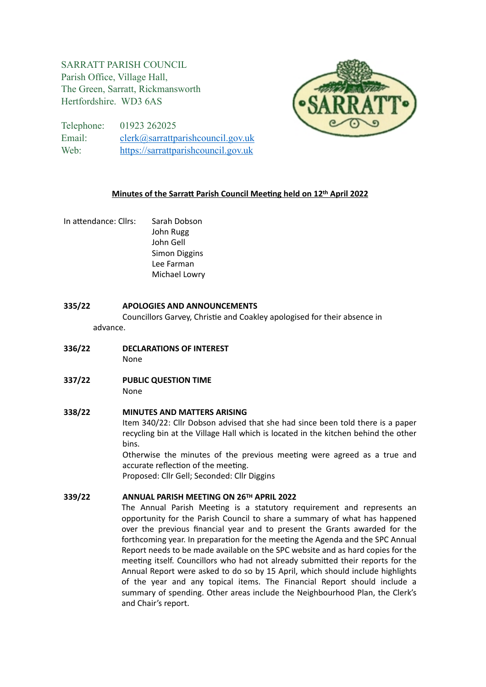# SARRATT PARISH COUNCIL Parish Office, Village Hall, The Green, Sarratt, Rickmansworth Hertfordshire. WD3 6AS



Telephone: 01923 262025 Email: [clerk@sarrattparishcouncil.gov.uk](mailto:clerk@sarrattparishcouncil.gov.uk) Web: <https://sarrattparishcouncil.gov.uk>

## **Minutes of the Sarratt Parish Council Meeting held on 12th April 2022**

In attendance: Cllrs: Sarah Dobson John Rugg John Gell Simon Diggins Lee Farman Michael Lowry

## **335/22 APOLOGIES AND ANNOUNCEMENTS**

Councillors Garvey, Christie and Coakley apologised for their absence in advance.

- **336/22 DECLARATIONS OF INTEREST** None
- **337/22 PUBLIC QUESTION TIME** None

# **338/22 MINUTES AND MATTERS ARISING**

Item 340/22: Cllr Dobson advised that she had since been told there is a paper recycling bin at the Village Hall which is located in the kitchen behind the other bins.

Otherwise the minutes of the previous meeting were agreed as a true and accurate reflection of the meeting.

Proposed: Cllr Gell; Seconded: Cllr Diggins

# **339/22 ANNUAL PARISH MEETING ON 26TH APRIL 2022**

The Annual Parish Meeting is a statutory requirement and represents an opportunity for the Parish Council to share a summary of what has happened over the previous financial year and to present the Grants awarded for the forthcoming year. In preparation for the meeting the Agenda and the SPC Annual Report needs to be made available on the SPC website and as hard copies for the meeting itself. Councillors who had not already submitted their reports for the Annual Report were asked to do so by 15 April, which should include highlights of the year and any topical items. The Financial Report should include a summary of spending. Other areas include the Neighbourhood Plan, the Clerk's and Chair's report.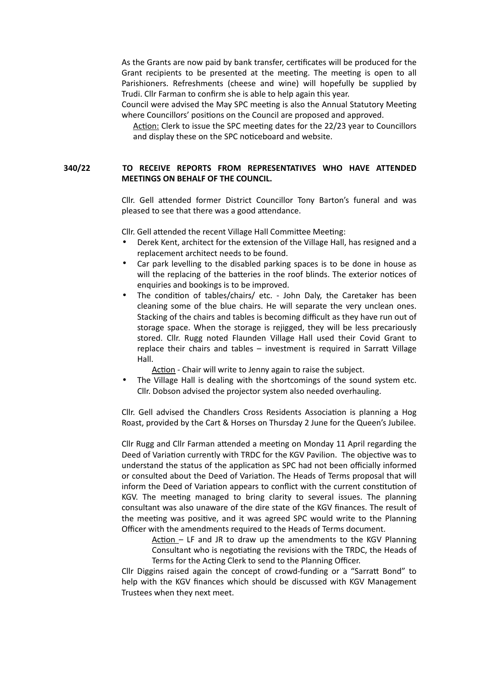As the Grants are now paid by bank transfer, certificates will be produced for the Grant recipients to be presented at the meeting. The meeting is open to all Parishioners. Refreshments (cheese and wine) will hopefully be supplied by Trudi. Cllr Farman to confirm she is able to help again this year.

Council were advised the May SPC meeting is also the Annual Statutory Meeting where Councillors' positions on the Council are proposed and approved.

Action: Clerk to issue the SPC meeting dates for the 22/23 year to Councillors and display these on the SPC noticeboard and website.

#### **340/22 TO RECEIVE REPORTS FROM REPRESENTATIVES WHO HAVE ATTENDED MEETINGS ON BEHALF OF THE COUNCIL.**

Cllr. Gell attended former District Councillor Tony Barton's funeral and was pleased to see that there was a good attendance.

Cllr. Gell attended the recent Village Hall Committee Meeting:

- Derek Kent, architect for the extension of the Village Hall, has resigned and a replacement architect needs to be found.
- Car park levelling to the disabled parking spaces is to be done in house as will the replacing of the batteries in the roof blinds. The exterior notices of enquiries and bookings is to be improved.
- The condition of tables/chairs/ etc. John Daly, the Caretaker has been cleaning some of the blue chairs. He will separate the very unclean ones. Stacking of the chairs and tables is becoming difficult as they have run out of storage space. When the storage is rejigged, they will be less precariously stored. Cllr. Rugg noted Flaunden Village Hall used their Covid Grant to replace their chairs and tables – investment is required in Sarratt Village Hall.

Action - Chair will write to Jenny again to raise the subject.

The Village Hall is dealing with the shortcomings of the sound system etc. Cllr. Dobson advised the projector system also needed overhauling.

Cllr. Gell advised the Chandlers Cross Residents Association is planning a Hog Roast, provided by the Cart & Horses on Thursday 2 June for the Queen's Jubilee.

Cllr Rugg and Cllr Farman attended a meeting on Monday 11 April regarding the Deed of Variation currently with TRDC for the KGV Pavilion. The objective was to understand the status of the application as SPC had not been officially informed or consulted about the Deed of Variation. The Heads of Terms proposal that will inform the Deed of Variation appears to conflict with the current constitution of KGV. The meeting managed to bring clarity to several issues. The planning consultant was also unaware of the dire state of the KGV finances. The result of the meeting was positive, and it was agreed SPC would write to the Planning Officer with the amendments required to the Heads of Terms document.

Action - LF and JR to draw up the amendments to the KGV Planning Consultant who is negotiating the revisions with the TRDC, the Heads of Terms for the Acting Clerk to send to the Planning Officer.

Cllr Diggins raised again the concept of crowd-funding or a "Sarratt Bond" to help with the KGV finances which should be discussed with KGV Management Trustees when they next meet.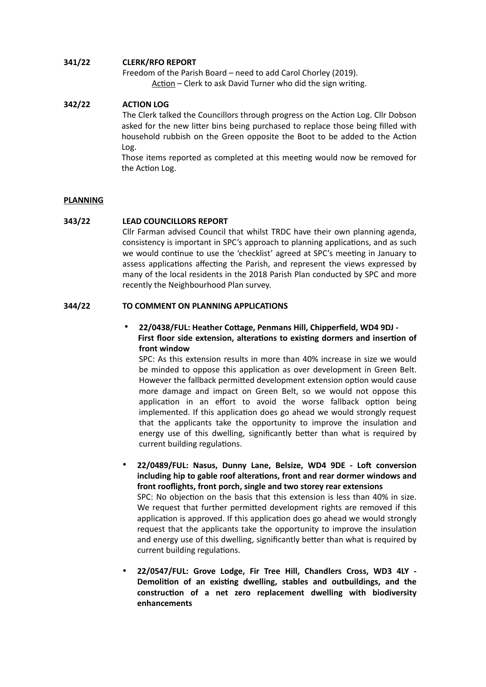## **341/22 CLERK/RFO REPORT**

Freedom of the Parish Board – need to add Carol Chorley (2019). Action – Clerk to ask David Turner who did the sign writing.

## **342/22 ACTION LOG**

The Clerk talked the Councillors through progress on the Action Log. Cllr Dobson asked for the new litter bins being purchased to replace those being filled with household rubbish on the Green opposite the Boot to be added to the Action Log.

Those items reported as completed at this meeting would now be removed for the Action Log.

#### **PLANNING**

#### **343/22 LEAD COUNCILLORS REPORT**

Cllr Farman advised Council that whilst TRDC have their own planning agenda, consistency is important in SPC's approach to planning applications, and as such we would continue to use the 'checklist' agreed at SPC's meeting in January to assess applications affecting the Parish, and represent the views expressed by many of the local residents in the 2018 Parish Plan conducted by SPC and more recently the Neighbourhood Plan survey.

#### **344/22 TO COMMENT ON PLANNING APPLICATIONS**

# • **22/0438/FUL: Heather Cottage, Penmans Hill, Chipperfield, WD4 9DJ - First floor side extension, alterations to existing dormers and insertion of front window**

SPC: As this extension results in more than 40% increase in size we would be minded to oppose this application as over development in Green Belt. However the fallback permitted development extension option would cause more damage and impact on Green Belt, so we would not oppose this application in an effort to avoid the worse fallback option being implemented. If this application does go ahead we would strongly request that the applicants take the opportunity to improve the insulation and energy use of this dwelling, significantly better than what is required by current building regulations.

• **22/0489/FUL: Nasus, Dunny Lane, Belsize, WD4 9DE - Loft conversion including hip to gable roof alterations, front and rear dormer windows and front rooflights, front porch, single and two storey rear extensions**  SPC: No objection on the basis that this extension is less than 40% in size. We request that further permitted development rights are removed if this application is approved. If this application does go ahead we would strongly request that the applicants take the opportunity to improve the insulation and energy use of this dwelling, significantly better than what is required by current building regulations.

• **22/0547/FUL: Grove Lodge, Fir Tree Hill, Chandlers Cross, WD3 4LY - Demolition of an existing dwelling, stables and outbuildings, and the construction of a net zero replacement dwelling with biodiversity enhancements**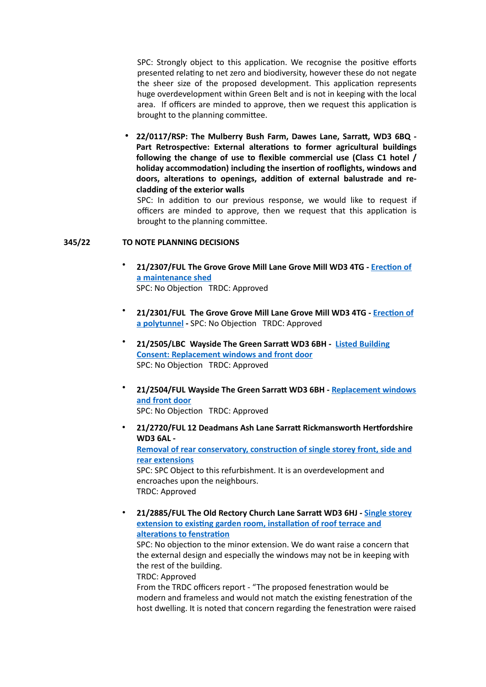SPC: Strongly object to this application. We recognise the positive efforts presented relating to net zero and biodiversity, however these do not negate the sheer size of the proposed development. This application represents huge overdevelopment within Green Belt and is not in keeping with the local area. If officers are minded to approve, then we request this application is brought to the planning committee.

• **22/0117/RSP: The Mulberry Bush Farm, Dawes Lane, Sarratt, WD3 6BQ - Part Retrospective: External alterations to former agricultural buildings following the change of use to flexible commercial use (Class C1 hotel / holiday accommodation) including the insertion of rooflights, windows and doors, alterations to openings, addition of external balustrade and recladding of the exterior walls** 

SPC: In addition to our previous response, we would like to request if officers are minded to approve, then we request that this application is brought to the planning committee.

## **345/22 TO NOTE PLANNING DECISIONS**

- **21/2307/FUL The Grove Grove Mill Lane Grove Mill WD3 4TG - [Erection of](https://www3.threerivers.gov.uk/online-applications/applicationDetails.do?keyVal=R08JN1QFHG700&activeTab=summary)  [a maintenance shed](https://www3.threerivers.gov.uk/online-applications/applicationDetails.do?keyVal=R08JN1QFHG700&activeTab=summary)** SPC: No Objection TRDC: Approved
- **21/2301/FUL The Grove Grove Mill Lane Grove Mill WD3 4TG [Erection of](https://www3.threerivers.gov.uk/online-applications/applicationDetails.do?keyVal=R08JJ2QFHFU00&activeTab=summary)  [a polytunnel](https://www3.threerivers.gov.uk/online-applications/applicationDetails.do?keyVal=R08JJ2QFHFU00&activeTab=summary) -** SPC: No Objection TRDC: Approved
- **21/2505/LBC Wayside The Green Sarratt WD3 6BH [Listed Building](https://www3.threerivers.gov.uk/online-applications/applicationDetails.do?keyVal=R1OE7IQFHRA00&activeTab=summary)  [Consent: Replacement windows and front door](https://www3.threerivers.gov.uk/online-applications/applicationDetails.do?keyVal=R1OE7IQFHRA00&activeTab=summary)** SPC: No Objection TRDC: Approved
- **21/2504/FUL Wayside The Green Sarratt WD3 6BH - [Replacement windows](https://www3.threerivers.gov.uk/online-applications/applicationDetails.do?keyVal=R1OE7FQFHR900&activeTab=summary)  [and front door](https://www3.threerivers.gov.uk/online-applications/applicationDetails.do?keyVal=R1OE7FQFHR900&activeTab=summary)** SPC: No Objection TRDC: Approved
- **21/2720/FUL 12 Deadmans Ash Lane Sarratt Rickmansworth Hertfordshire WD3 6AL - [Removal of rear conservatory, construction of single storey front, side and](https://www3.threerivers.gov.uk/online-applications/applicationDetails.do?keyVal=R36PMVQF0DC00&activeTab=summary)  [rear extensions](https://www3.threerivers.gov.uk/online-applications/applicationDetails.do?keyVal=R36PMVQF0DC00&activeTab=summary)** SPC: SPC Object to this refurbishment. It is an overdevelopment and encroaches upon the neighbours. TRDC: Approved
- **21/2885/FUL The Old Rectory Church Lane Sarratt WD3 6HJ - [Single storey](https://www3.threerivers.gov.uk/online-applications/applicationDetails.do?keyVal=R4GGWVQFIC000&activeTab=summary)  [extension to existing garden room, installation of roof terrace and](https://www3.threerivers.gov.uk/online-applications/applicationDetails.do?keyVal=R4GGWVQFIC000&activeTab=summary)  [alterations to fenstration](https://www3.threerivers.gov.uk/online-applications/applicationDetails.do?keyVal=R4GGWVQFIC000&activeTab=summary)**

SPC: No objection to the minor extension. We do want raise a concern that the external design and especially the windows may not be in keeping with the rest of the building.

TRDC: Approved

From the TRDC officers report - "The proposed fenestration would be modern and frameless and would not match the existing fenestration of the host dwelling. It is noted that concern regarding the fenestration were raised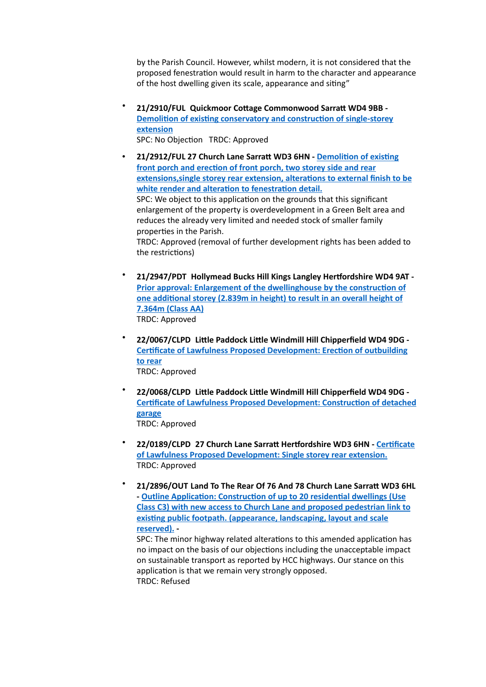by the Parish Council. However, whilst modern, it is not considered that the proposed fenestration would result in harm to the character and appearance of the host dwelling given its scale, appearance and siting"

• **21/2910/FUL Quickmoor Cottage Commonwood Sarratt WD4 9BB - [Demolition of existing conservatory and construction of single-storey](https://www3.threerivers.gov.uk/online-applications/applicationDetails.do?keyVal=R4K6BKQFIDJ00&activeTab=summary)  [extension](https://www3.threerivers.gov.uk/online-applications/applicationDetails.do?keyVal=R4K6BKQFIDJ00&activeTab=summary)** 

SPC: No Objection TRDC: Approved

- **21/2912/FUL 27 Church Lane Sarratt WD3 6HN [Demolition of existing](https://www3.threerivers.gov.uk/online-applications/applicationDetails.do?keyVal=R4K6D5QFIDN00&activeTab=summary)  [front porch and erection of front porch, two storey side and rear](https://www3.threerivers.gov.uk/online-applications/applicationDetails.do?keyVal=R4K6D5QFIDN00&activeTab=summary)  [extensions,single storey rear extension, alterations to external finish to be](https://www3.threerivers.gov.uk/online-applications/applicationDetails.do?keyVal=R4K6D5QFIDN00&activeTab=summary)  [white render and alteration to fenestration detail.](https://www3.threerivers.gov.uk/online-applications/applicationDetails.do?keyVal=R4K6D5QFIDN00&activeTab=summary)**  SPC: We object to this application on the grounds that this significant enlargement of the property is overdevelopment in a Green Belt area and reduces the already very limited and needed stock of smaller family properties in the Parish. TRDC: Approved (removal of further development rights has been added to the restrictions)
- **21/2947/PDT Hollymead Bucks Hill Kings Langley Hertfordshire WD4 9AT [Prior approval: Enlargement of the dwellinghouse by the construction of](https://www3.threerivers.gov.uk/online-applications/applicationDetails.do?keyVal=R4Z58VQF0DC00&activeTab=summary)  [one additional storey \(2.839m in height\) to result in an overall height of](https://www3.threerivers.gov.uk/online-applications/applicationDetails.do?keyVal=R4Z58VQF0DC00&activeTab=summary)  [7.364m \(Class AA\)](https://www3.threerivers.gov.uk/online-applications/applicationDetails.do?keyVal=R4Z58VQF0DC00&activeTab=summary)** TRDC: Approved
- **22/0067/CLPD Little Paddock Little Windmill Hill Chipperfield WD4 9DG [Certificate of Lawfulness Proposed Development: Erection of outbuilding](https://www3.threerivers.gov.uk/online-applications/applicationDetails.do?keyVal=R5US32QFIKJ00&activeTab=summary)  [to rear](https://www3.threerivers.gov.uk/online-applications/applicationDetails.do?keyVal=R5US32QFIKJ00&activeTab=summary)** TRDC: Approved
- **22/0068/CLPD Little Paddock Little Windmill Hill Chipperfield WD4 9DG [Certificate of Lawfulness Proposed Development: Construction of detached](https://www3.threerivers.gov.uk/online-applications/applicationDetails.do?keyVal=R5US3AQFIKL00&activeTab=summary)  [garage](https://www3.threerivers.gov.uk/online-applications/applicationDetails.do?keyVal=R5US3AQFIKL00&activeTab=summary)** TRDC: Approved
- **22/0189/CLPD 27 Church Lane Sarratt Hertfordshire WD3 6HN [Certificate](https://www3.threerivers.gov.uk/online-applications/applicationDetails.do?keyVal=R6Z7P7QFIQR00&activeTab=summary)  [of Lawfulness Proposed Development: Single storey rear extension.](https://www3.threerivers.gov.uk/online-applications/applicationDetails.do?keyVal=R6Z7P7QFIQR00&activeTab=summary)**  TRDC: Approved
- **21/2896/OUT Land To The Rear Of 76 And 78 Church Lane Sarratt WD3 6HL - [Outline Application: Construction of up to 20 residential dwellings \(Use](https://www3.threerivers.gov.uk/online-applications/applicationDetails.do?keyVal=R4IBMUQFICN00&activeTab=summary)  [Class C3\) with new access to Church Lane and proposed pedestrian link to](https://www3.threerivers.gov.uk/online-applications/applicationDetails.do?keyVal=R4IBMUQFICN00&activeTab=summary)  [existing public footpath. \(appearance, landscaping, layout and scale](https://www3.threerivers.gov.uk/online-applications/applicationDetails.do?keyVal=R4IBMUQFICN00&activeTab=summary)  [reserved\).](https://www3.threerivers.gov.uk/online-applications/applicationDetails.do?keyVal=R4IBMUQFICN00&activeTab=summary) -**

SPC: The minor highway related alterations to this amended application has no impact on the basis of our objections including the unacceptable impact on sustainable transport as reported by HCC highways. Our stance on this application is that we remain very strongly opposed. TRDC: Refused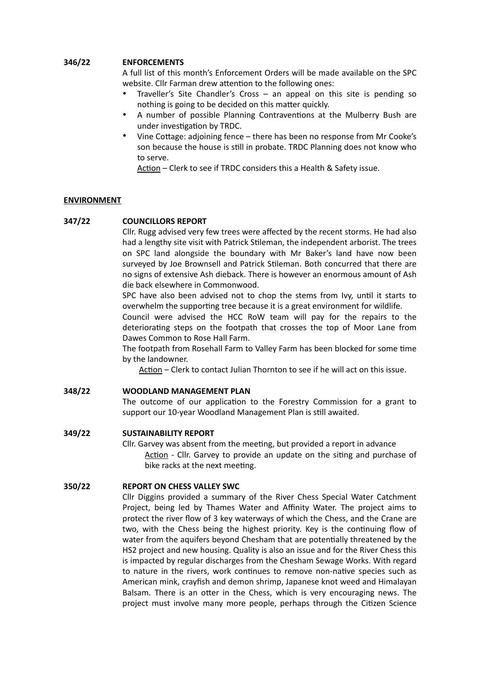## **346/22 ENFORCEMENTS**

A full list of this month's Enforcement Orders will be made available on the SPC website. Cllr Farman drew attention to the following ones:

- Traveller's Site Chandler's Cross  $-$  an appeal on this site is pending so nothing is going to be decided on this matter quickly.
- A number of possible Planning Contraventions at the Mulberry Bush are under investigation by TRDC.
- Vine Cottage: adjoining fence there has been no response from Mr Cooke's son because the house is still in probate. TRDC Planning does not know who to serve.

Action – Clerk to see if TRDC considers this a Health & Safety issue.

## **ENVIRONMENT**

## **347/22 COUNCILLORS REPORT**

Cllr. Rugg advised very few trees were affected by the recent storms. He had also had a lengthy site visit with Patrick Stileman, the independent arborist. The trees on SPC land alongside the boundary with Mr Baker's land have now been surveyed by Joe Brownsell and Patrick Stileman. Both concurred that there are no signs of extensive Ash dieback. There is however an enormous amount of Ash die back elsewhere in Commonwood.

SPC have also been advised not to chop the stems from Ivy, until it starts to overwhelm the supporting tree because it is a great environment for wildlife.

Council were advised the HCC RoW team will pay for the repairs to the deteriorating steps on the footpath that crosses the top of Moor Lane from Dawes Common to Rose Hall Farm.

The footpath from Rosehall Farm to Valley Farm has been blocked for some time by the landowner.

Action – Clerk to contact Julian Thornton to see if he will act on this issue.

#### **348/22 WOODLAND MANAGEMENT PLAN**

The outcome of our application to the Forestry Commission for a grant to support our 10-year Woodland Management Plan is still awaited.

## **349/22 SUSTAINABILITY REPORT**

Cllr. Garvey was absent from the meeting, but provided a report in advance Action - Cllr. Garvey to provide an update on the siting and purchase of bike racks at the next meeting.

## **350/22 REPORT ON CHESS VALLEY SWC**

Cllr Diggins provided a summary of the River Chess Special Water Catchment Project, being led by Thames Water and Affinity Water. The project aims to protect the river flow of 3 key waterways of which the Chess, and the Crane are two, with the Chess being the highest priority. Key is the continuing flow of water from the aquifers beyond Chesham that are potentially threatened by the HS2 project and new housing. Quality is also an issue and for the River Chess this is impacted by regular discharges from the Chesham Sewage Works. With regard to nature in the rivers, work continues to remove non-native species such as American mink, crayfish and demon shrimp, Japanese knot weed and Himalayan Balsam. There is an otter in the Chess, which is very encouraging news. The project must involve many more people, perhaps through the Citizen Science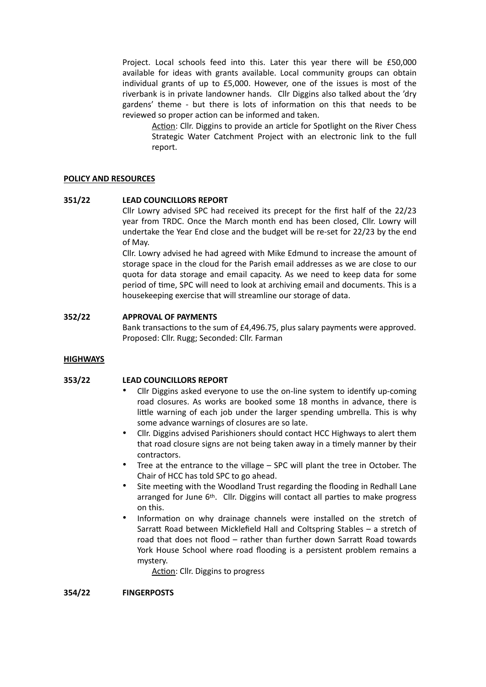Project. Local schools feed into this. Later this year there will be £50,000 available for ideas with grants available. Local community groups can obtain individual grants of up to £5,000. However, one of the issues is most of the riverbank is in private landowner hands. Cllr Diggins also talked about the 'dry gardens' theme - but there is lots of information on this that needs to be reviewed so proper action can be informed and taken.

Action: Cllr. Diggins to provide an article for Spotlight on the River Chess Strategic Water Catchment Project with an electronic link to the full report.

#### **POLICY AND RESOURCES**

#### **351/22 LEAD COUNCILLORS REPORT**

Cllr Lowry advised SPC had received its precept for the first half of the 22/23 year from TRDC. Once the March month end has been closed, Cllr. Lowry will undertake the Year End close and the budget will be re-set for 22/23 by the end of May.

Cllr. Lowry advised he had agreed with Mike Edmund to increase the amount of storage space in the cloud for the Parish email addresses as we are close to our quota for data storage and email capacity. As we need to keep data for some period of time, SPC will need to look at archiving email and documents. This is a housekeeping exercise that will streamline our storage of data.

## **352/22 APPROVAL OF PAYMENTS**

Bank transactions to the sum of £4,496.75, plus salary payments were approved. Proposed: Cllr. Rugg; Seconded: Cllr. Farman

#### **HIGHWAYS**

## **353/22 LEAD COUNCILLORS REPORT**

- Cllr Diggins asked everyone to use the on-line system to identify up-coming road closures. As works are booked some 18 months in advance, there is little warning of each job under the larger spending umbrella. This is why some advance warnings of closures are so late.
- Cllr. Diggins advised Parishioners should contact HCC Highways to alert them that road closure signs are not being taken away in a timely manner by their contractors.
- Tree at the entrance to the village SPC will plant the tree in October. The Chair of HCC has told SPC to go ahead.
- Site meeting with the Woodland Trust regarding the flooding in Redhall Lane arranged for June 6th. Cllr. Diggins will contact all parties to make progress on this.
- Information on why drainage channels were installed on the stretch of Sarratt Road between Micklefield Hall and Coltspring Stables – a stretch of road that does not flood – rather than further down Sarratt Road towards York House School where road flooding is a persistent problem remains a mystery.

Action: Cllr. Diggins to progress

#### **354/22 FINGERPOSTS**